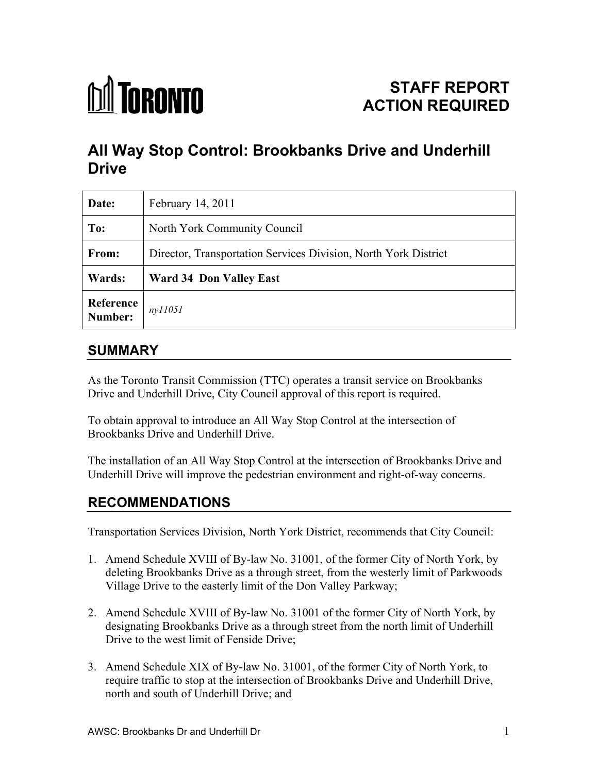

# **All Way Stop Control: Brookbanks Drive and Underhill Drive**

| Date:                | February 14, 2011                                               |  |  |  |
|----------------------|-----------------------------------------------------------------|--|--|--|
| To:                  | North York Community Council                                    |  |  |  |
| From:                | Director, Transportation Services Division, North York District |  |  |  |
| Wards:               | <b>Ward 34 Don Valley East</b>                                  |  |  |  |
| Reference<br>Number: | ny11051                                                         |  |  |  |

### **SUMMARY**

As the Toronto Transit Commission (TTC) operates a transit service on Brookbanks Drive and Underhill Drive, City Council approval of this report is required.

To obtain approval to introduce an All Way Stop Control at the intersection of Brookbanks Drive and Underhill Drive.

The installation of an All Way Stop Control at the intersection of Brookbanks Drive and Underhill Drive will improve the pedestrian environment and right-of-way concerns.

## **RECOMMENDATIONS**

Transportation Services Division, North York District, recommends that City Council:

- 1. Amend Schedule XVIII of By-law No. 31001, of the former City of North York, by deleting Brookbanks Drive as a through street, from the westerly limit of Parkwoods Village Drive to the easterly limit of the Don Valley Parkway;
- 2. Amend Schedule XVIII of By-law No. 31001 of the former City of North York, by designating Brookbanks Drive as a through street from the north limit of Underhill Drive to the west limit of Fenside Drive;
- 3. Amend Schedule XIX of By-law No. 31001, of the former City of North York, to require traffic to stop at the intersection of Brookbanks Drive and Underhill Drive, north and south of Underhill Drive; and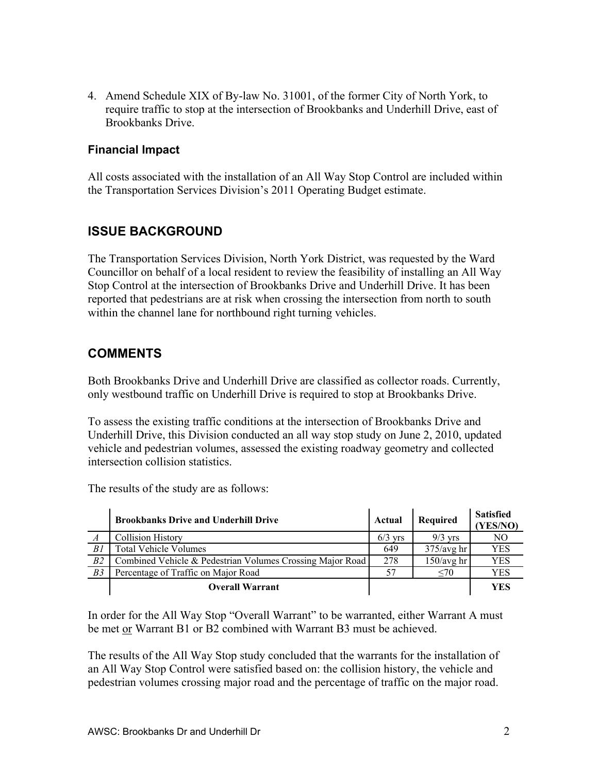4. Amend Schedule XIX of By-law No. 31001, of the former City of North York, to require traffic to stop at the intersection of Brookbanks and Underhill Drive, east of Brookbanks Drive.

#### **Financial Impact**

All costs associated with the installation of an All Way Stop Control are included within the Transportation Services Division's 2011 Operating Budget estimate.

#### **ISSUE BACKGROUND**

The Transportation Services Division, North York District, was requested by the Ward Councillor on behalf of a local resident to review the feasibility of installing an All Way Stop Control at the intersection of Brookbanks Drive and Underhill Drive. It has been reported that pedestrians are at risk when crossing the intersection from north to south within the channel lane for northbound right turning vehicles.

### **COMMENTS**

Both Brookbanks Drive and Underhill Drive are classified as collector roads. Currently, only westbound traffic on Underhill Drive is required to stop at Brookbanks Drive.

To assess the existing traffic conditions at the intersection of Brookbanks Drive and Underhill Drive, this Division conducted an all way stop study on June 2, 2010, updated vehicle and pedestrian volumes, assessed the existing roadway geometry and collected intersection collision statistics.

The results of the study are as follows:

|                  | <b>Brookbanks Drive and Underhill Drive</b>               | Actual    | Required     | <b>Satisfied</b><br><b>YES/NO)</b> |
|------------------|-----------------------------------------------------------|-----------|--------------|------------------------------------|
| $\boldsymbol{A}$ | <b>Collision History</b>                                  | $6/3$ vrs | $9/3$ yrs    | NO                                 |
| B1               | <b>Total Vehicle Volumes</b>                              | 649       | $375/avg$ hr | YES                                |
| B2               | Combined Vehicle & Pedestrian Volumes Crossing Major Road | 278       | $150/avg$ hr | YES                                |
| B3               | Percentage of Traffic on Major Road                       | 57        | <70          | YES                                |
|                  | <b>Overall Warrant</b>                                    |           |              | <b>YES</b>                         |

In order for the All Way Stop "Overall Warrant" to be warranted, either Warrant A must be met or Warrant B1 or B2 combined with Warrant B3 must be achieved.

The results of the All Way Stop study concluded that the warrants for the installation of an All Way Stop Control were satisfied based on: the collision history, the vehicle and pedestrian volumes crossing major road and the percentage of traffic on the major road.